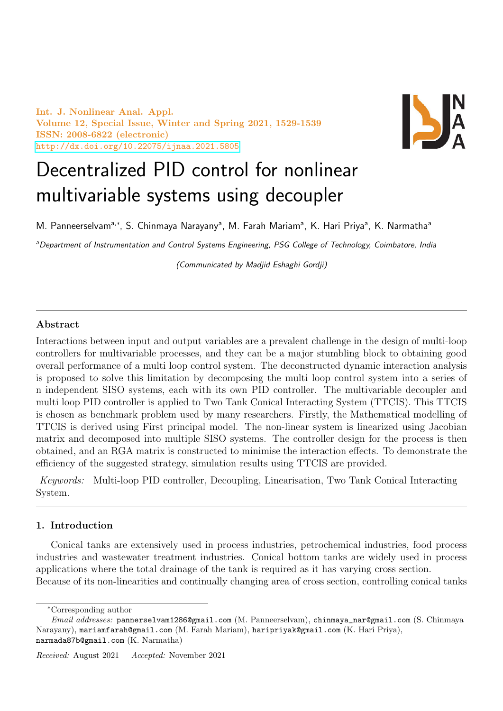Int. J. Nonlinear Anal. Appl. Volume 12, Special Issue, Winter and Spring 2021, 1529-1539 ISSN: 2008-6822 (electronic) <http://dx.doi.org/10.22075/ijnaa.2021.5805>



# Decentralized PID control for nonlinear multivariable systems using decoupler

M. Panneerselvam<sup>a,∗</sup>, S. Chinmaya Narayany<sup>a</sup>, M. Farah Mariam<sup>a</sup>, K. Hari Priya<sup>a</sup>, K. Narmatha<sup>a</sup>

<sup>a</sup>Department of Instrumentation and Control Systems Engineering, PSG College of Technology, Coimbatore, India

(Communicated by Madjid Eshaghi Gordji)

# Abstract

Interactions between input and output variables are a prevalent challenge in the design of multi-loop controllers for multivariable processes, and they can be a major stumbling block to obtaining good overall performance of a multi loop control system. The deconstructed dynamic interaction analysis is proposed to solve this limitation by decomposing the multi loop control system into a series of n independent SISO systems, each with its own PID controller. The multivariable decoupler and multi loop PID controller is applied to Two Tank Conical Interacting System (TTCIS). This TTCIS is chosen as benchmark problem used by many researchers. Firstly, the Mathematical modelling of TTCIS is derived using First principal model. The non-linear system is linearized using Jacobian matrix and decomposed into multiple SISO systems. The controller design for the process is then obtained, and an RGA matrix is constructed to minimise the interaction effects. To demonstrate the efficiency of the suggested strategy, simulation results using TTCIS are provided.

Keywords: Multi-loop PID controller, Decoupling, Linearisation, Two Tank Conical Interacting System.

# 1. Introduction

Conical tanks are extensively used in process industries, petrochemical industries, food process industries and wastewater treatment industries. Conical bottom tanks are widely used in process applications where the total drainage of the tank is required as it has varying cross section. Because of its non-linearities and continually changing area of cross section, controlling conical tanks

<sup>∗</sup>Corresponding author

Email addresses: pannerselvam1286@gmail.com (M. Panneerselvam), chinmaya\_nar@gmail.com (S. Chinmaya Narayany), mariamfarah@gmail.com (M. Farah Mariam), haripriyak@gmail.com (K. Hari Priya), narmada87b@gmail.com (K. Narmatha)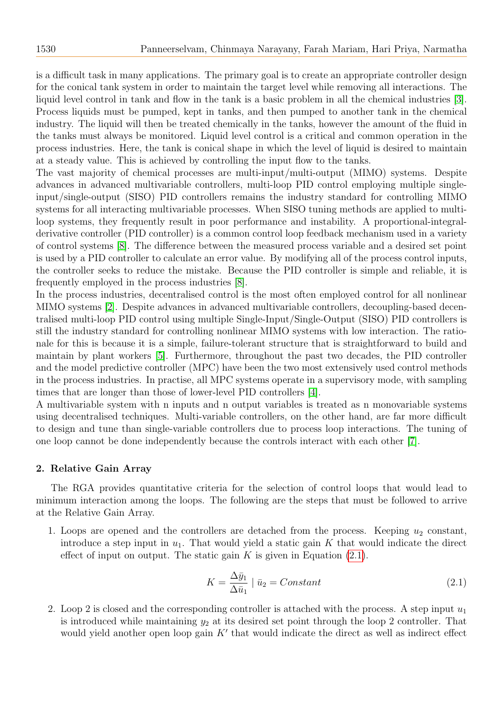is a difficult task in many applications. The primary goal is to create an appropriate controller design for the conical tank system in order to maintain the target level while removing all interactions. The liquid level control in tank and flow in the tank is a basic problem in all the chemical industries [\[3\]](#page-10-0). Process liquids must be pumped, kept in tanks, and then pumped to another tank in the chemical industry. The liquid will then be treated chemically in the tanks, however the amount of the fluid in the tanks must always be monitored. Liquid level control is a critical and common operation in the process industries. Here, the tank is conical shape in which the level of liquid is desired to maintain at a steady value. This is achieved by controlling the input flow to the tanks.

The vast majority of chemical processes are multi-input/multi-output (MIMO) systems. Despite advances in advanced multivariable controllers, multi-loop PID control employing multiple singleinput/single-output (SISO) PID controllers remains the industry standard for controlling MIMO systems for all interacting multivariable processes. When SISO tuning methods are applied to multiloop systems, they frequently result in poor performance and instability. A proportional-integralderivative controller (PID controller) is a common control loop feedback mechanism used in a variety of control systems [\[8\]](#page-10-1). The difference between the measured process variable and a desired set point is used by a PID controller to calculate an error value. By modifying all of the process control inputs, the controller seeks to reduce the mistake. Because the PID controller is simple and reliable, it is frequently employed in the process industries [\[8\]](#page-10-1).

In the process industries, decentralised control is the most often employed control for all nonlinear MIMO systems [\[2\]](#page-10-2). Despite advances in advanced multivariable controllers, decoupling-based decentralised multi-loop PID control using multiple Single-Input/Single-Output (SISO) PID controllers is still the industry standard for controlling nonlinear MIMO systems with low interaction. The rationale for this is because it is a simple, failure-tolerant structure that is straightforward to build and maintain by plant workers [\[5\]](#page-10-3). Furthermore, throughout the past two decades, the PID controller and the model predictive controller (MPC) have been the two most extensively used control methods in the process industries. In practise, all MPC systems operate in a supervisory mode, with sampling times that are longer than those of lower-level PID controllers [\[4\]](#page-10-4).

A multivariable system with n inputs and n output variables is treated as n monovariable systems using decentralised techniques. Multi-variable controllers, on the other hand, are far more difficult to design and tune than single-variable controllers due to process loop interactions. The tuning of one loop cannot be done independently because the controls interact with each other [\[7\]](#page-10-5).

# 2. Relative Gain Array

The RGA provides quantitative criteria for the selection of control loops that would lead to minimum interaction among the loops. The following are the steps that must be followed to arrive at the Relative Gain Array.

1. Loops are opened and the controllers are detached from the process. Keeping  $u_2$  constant, introduce a step input in  $u_1$ . That would yield a static gain K that would indicate the direct effect of input on output. The static gain  $K$  is given in Equation  $(2.1)$ .

<span id="page-1-0"></span>
$$
K = \frac{\Delta \bar{y}_1}{\Delta \bar{u}_1} \mid \bar{u}_2 = Constant \tag{2.1}
$$

2. Loop 2 is closed and the corresponding controller is attached with the process. A step input  $u_1$ is introduced while maintaining  $y_2$  at its desired set point through the loop 2 controller. That would yield another open loop gain  $K'$  that would indicate the direct as well as indirect effect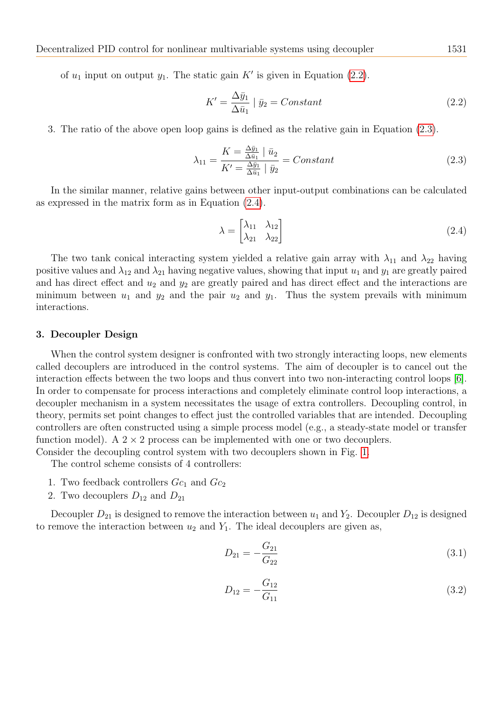of  $u_1$  input on output  $y_1$ . The static gain  $K'$  is given in Equation [\(2.2\)](#page-2-0).

<span id="page-2-0"></span>
$$
K' = \frac{\Delta \bar{y}_1}{\Delta \bar{u}_1} | \bar{y}_2 = Constant \qquad (2.2)
$$

3. The ratio of the above open loop gains is defined as the relative gain in Equation [\(2.3\)](#page-2-1).

<span id="page-2-1"></span>
$$
\lambda_{11} = \frac{K = \frac{\Delta \bar{y}_1}{\Delta \bar{u}_1} \mid \bar{u}_2}{K' = \frac{\Delta \bar{y}_1}{\Delta \bar{u}_1} \mid \bar{y}_2} = Constant \tag{2.3}
$$

In the similar manner, relative gains between other input-output combinations can be calculated as expressed in the matrix form as in Equation [\(2.4\)](#page-2-2).

<span id="page-2-2"></span>
$$
\lambda = \begin{bmatrix} \lambda_{11} & \lambda_{12} \\ \lambda_{21} & \lambda_{22} \end{bmatrix} \tag{2.4}
$$

The two tank conical interacting system yielded a relative gain array with  $\lambda_{11}$  and  $\lambda_{22}$  having positive values and  $\lambda_{12}$  and  $\lambda_{21}$  having negative values, showing that input  $u_1$  and  $y_1$  are greatly paired and has direct effect and  $u_2$  and  $y_2$  are greatly paired and has direct effect and the interactions are minimum between  $u_1$  and  $y_2$  and the pair  $u_2$  and  $y_1$ . Thus the system prevails with minimum interactions.

#### 3. Decoupler Design

When the control system designer is confronted with two strongly interacting loops, new elements called decouplers are introduced in the control systems. The aim of decoupler is to cancel out the interaction effects between the two loops and thus convert into two non-interacting control loops [\[6\]](#page-10-6). In order to compensate for process interactions and completely eliminate control loop interactions, a decoupler mechanism in a system necessitates the usage of extra controllers. Decoupling control, in theory, permits set point changes to effect just the controlled variables that are intended. Decoupling controllers are often constructed using a simple process model (e.g., a steady-state model or transfer function model). A  $2 \times 2$  process can be implemented with one or two decouplers. Consider the decoupling control system with two decouplers shown in Fig. [1.](#page-3-0)

The control scheme consists of 4 controllers:

- 1. Two feedback controllers  $Gc_1$  and  $Gc_2$
- 2. Two decouplers  $D_{12}$  and  $D_{21}$

Decoupler  $D_{21}$  is designed to remove the interaction between  $u_1$  and  $Y_2$ . Decoupler  $D_{12}$  is designed to remove the interaction between  $u_2$  and  $Y_1$ . The ideal decouplers are given as,

$$
D_{21} = -\frac{G_{21}}{G_{22}}\tag{3.1}
$$

$$
D_{12} = -\frac{G_{12}}{G_{11}}\tag{3.2}
$$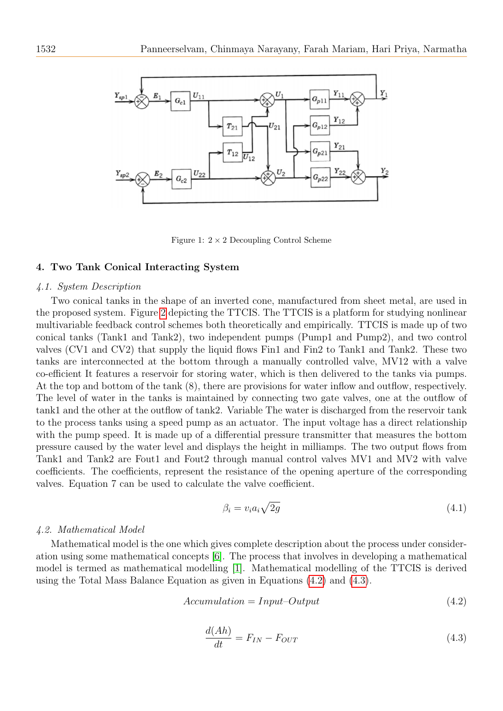

<span id="page-3-0"></span>Figure 1:  $2 \times 2$  Decoupling Control Scheme

#### 4. Two Tank Conical Interacting System

#### 4.1. System Description

Two conical tanks in the shape of an inverted cone, manufactured from sheet metal, are used in the proposed system. Figure [2](#page-4-0) depicting the TTCIS. The TTCIS is a platform for studying nonlinear multivariable feedback control schemes both theoretically and empirically. TTCIS is made up of two conical tanks (Tank1 and Tank2), two independent pumps (Pump1 and Pump2), and two control valves (CV1 and CV2) that supply the liquid flows Fin1 and Fin2 to Tank1 and Tank2. These two tanks are interconnected at the bottom through a manually controlled valve, MV12 with a valve co-efficient It features a reservoir for storing water, which is then delivered to the tanks via pumps. At the top and bottom of the tank (8), there are provisions for water inflow and outflow, respectively. The level of water in the tanks is maintained by connecting two gate valves, one at the outflow of tank1 and the other at the outflow of tank2. Variable The water is discharged from the reservoir tank to the process tanks using a speed pump as an actuator. The input voltage has a direct relationship with the pump speed. It is made up of a differential pressure transmitter that measures the bottom pressure caused by the water level and displays the height in milliamps. The two output flows from Tank1 and Tank2 are Fout1 and Fout2 through manual control valves MV1 and MV2 with valve coefficients. The coefficients, represent the resistance of the opening aperture of the corresponding valves. Equation 7 can be used to calculate the valve coefficient.

$$
\beta_i = v_i a_i \sqrt{2g} \tag{4.1}
$$

#### 4.2. Mathematical Model

Mathematical model is the one which gives complete description about the process under consideration using some mathematical concepts [\[6\]](#page-10-6). The process that involves in developing a mathematical model is termed as mathematical modelling [\[1\]](#page-10-7). Mathematical modelling of the TTCIS is derived using the Total Mass Balance Equation as given in Equations [\(4.2\)](#page-3-1) and [\(4.3\)](#page-3-2).

<span id="page-3-1"></span>
$$
Accumulation = Input-Output \tag{4.2}
$$

<span id="page-3-2"></span>
$$
\frac{d(Ah)}{dt} = F_{IN} - F_{OUT} \tag{4.3}
$$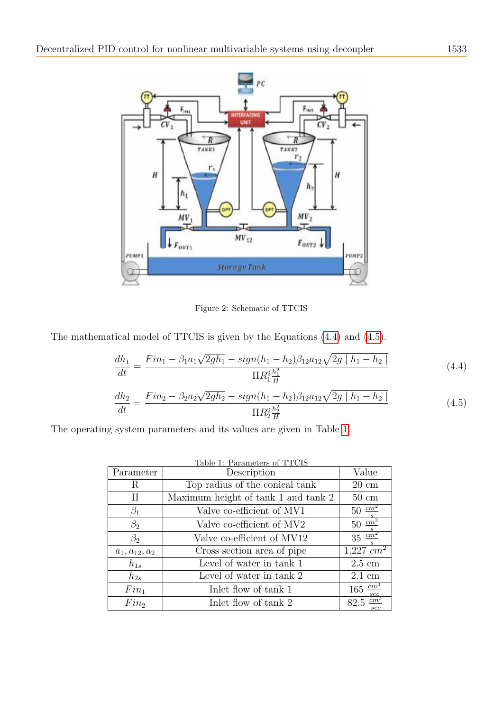

<span id="page-4-0"></span>Figure 2: Schematic of TTCIS

The mathematical model of TTCIS is given by the Equations [\(4.4\)](#page-4-1) and [\(4.5\)](#page-4-2).

<span id="page-4-1"></span>
$$
\frac{dh_1}{dt} = \frac{Fin_1 - \beta_1 a_1 \sqrt{2gh_1} - sign(h_1 - h_2)\beta_{12} a_{12} \sqrt{2g \mid h_1 - h_2 \mid}}{\Pi R_1^2 \frac{h_1^2}{H}}
$$
(4.4)

<span id="page-4-2"></span>
$$
\frac{dh_2}{dt} = \frac{Fin_2 - \beta_2 a_2 \sqrt{2gh_2} - sign(h_1 - h_2)\beta_{12} a_{12} \sqrt{2g \mid h_1 - h_2 \mid}}{\Pi R_2^2 \frac{h_2^2}{H}}
$$
(4.5)

The operating system parameters and its values are given in Table [1.](#page-4-3)

<span id="page-4-3"></span>

| Table 1: Parameters of TTCIS |                                     |                                |  |  |  |  |
|------------------------------|-------------------------------------|--------------------------------|--|--|--|--|
| Parameter                    | Description                         | Value                          |  |  |  |  |
| R                            | Top radius of the conical tank      | $20 \text{ cm}$                |  |  |  |  |
| H                            | Maximum height of tank 1 and tank 2 | $50 \text{ cm}$                |  |  |  |  |
| $\beta_1$                    | Valve co-efficient of MV1           | $50 \frac{cm^2}{ }$            |  |  |  |  |
| $\beta_2$                    | Valve co-efficient of MV2           | $rac{c}{50}$ $rac{cm^2}{s}$    |  |  |  |  |
| $\beta_2$                    | Valve co-efficient of MV12          | $35 \frac{cm^2}{ }$            |  |  |  |  |
| $a_1, a_{12}, a_2$           | Cross section area of pipe          | $1.227$ $cm^2$                 |  |  |  |  |
| $h_{1s}$                     | Level of water in tank 1            | $2.5 \text{ cm}$               |  |  |  |  |
| $h_{2s}$                     | Level of water in tank 2            | $2.1 \text{ cm}$               |  |  |  |  |
| $Fin_1$                      | Inlet flow of tank 1                | $165 \frac{cm^3}{ }$<br>sec    |  |  |  |  |
| Fin <sub>2</sub>             | Inlet flow of tank 2                | cm <sup>3</sup><br>82.5<br>sec |  |  |  |  |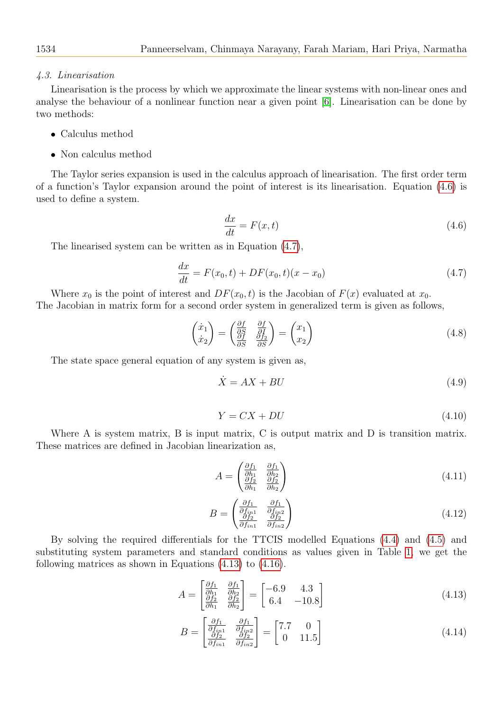#### 4.3. Linearisation

Linearisation is the process by which we approximate the linear systems with non-linear ones and analyse the behaviour of a nonlinear function near a given point [\[6\]](#page-10-6). Linearisation can be done by two methods:

- Calculus method
- Non calculus method

The Taylor series expansion is used in the calculus approach of linearisation. The first order term of a function's Taylor expansion around the point of interest is its linearisation. Equation [\(4.6\)](#page-5-0) is used to define a system.

<span id="page-5-0"></span>
$$
\frac{dx}{dt} = F(x, t) \tag{4.6}
$$

The linearised system can be written as in Equation [\(4.7\)](#page-5-1),

<span id="page-5-1"></span>
$$
\frac{dx}{dt} = F(x_0, t) + DF(x_0, t)(x - x_0)
$$
\n(4.7)

Where  $x_0$  is the point of interest and  $DF(x_0, t)$  is the Jacobian of  $F(x)$  evaluated at  $x_0$ . The Jacobian in matrix form for a second order system in generalized term is given as follows,

$$
\begin{pmatrix} \dot{x}_1\\ \dot{x}_2 \end{pmatrix} = \begin{pmatrix} \frac{\partial f}{\partial S} & \frac{\partial f}{\partial I} \\ \frac{\partial f}{\partial S} & \frac{\partial f_2}{\partial S} \end{pmatrix} = \begin{pmatrix} x_1\\ x_2 \end{pmatrix}
$$
\n(4.8)

The state space general equation of any system is given as,

$$
\dot{X} = AX + BU \tag{4.9}
$$

$$
Y = CX + DU \tag{4.10}
$$

Where A is system matrix, B is input matrix, C is output matrix and D is transition matrix. These matrices are defined in Jacobian linearization as,

$$
A = \begin{pmatrix} \frac{\partial f_1}{\partial h_1} & \frac{\partial f_1}{\partial h_2} \\ \frac{\partial f_2}{\partial h_1} & \frac{\partial f_2}{\partial h_2} \end{pmatrix}
$$
 (4.11)

$$
B = \begin{pmatrix} \frac{\partial f_1}{\partial f_{in1}} & \frac{\partial f_1}{\partial f_{in2}} \\ \frac{\partial f_2}{\partial f_{in1}} & \frac{\partial f_2}{\partial f_{in2}} \end{pmatrix}
$$
 (4.12)

By solving the required differentials for the TTCIS modelled Equations [\(4.4\)](#page-4-1) and [\(4.5\)](#page-4-2) and substituting system parameters and standard conditions as values given in Table [1,](#page-4-3) we get the following matrices as shown in Equations [\(4.13\)](#page-5-2) to [\(4.16\)](#page-6-0).

<span id="page-5-2"></span>
$$
A = \begin{bmatrix} \frac{\partial f_1}{\partial h_1} & \frac{\partial f_1}{\partial h_2} \\ \frac{\partial f_2}{\partial h_1} & \frac{\partial f_2}{\partial h_2} \end{bmatrix} = \begin{bmatrix} -6.9 & 4.3 \\ 6.4 & -10.8 \end{bmatrix}
$$
 (4.13)

$$
B = \begin{bmatrix} \frac{\partial f_1}{\partial f_{in1}} & \frac{\partial f_1}{\partial f_{in2}} \\ \frac{\partial f_2}{\partial f_{in1}} & \frac{\partial f_2}{\partial f_{in2}} \end{bmatrix} = \begin{bmatrix} 7.7 & 0 \\ 0 & 11.5 \end{bmatrix}
$$
(4.14)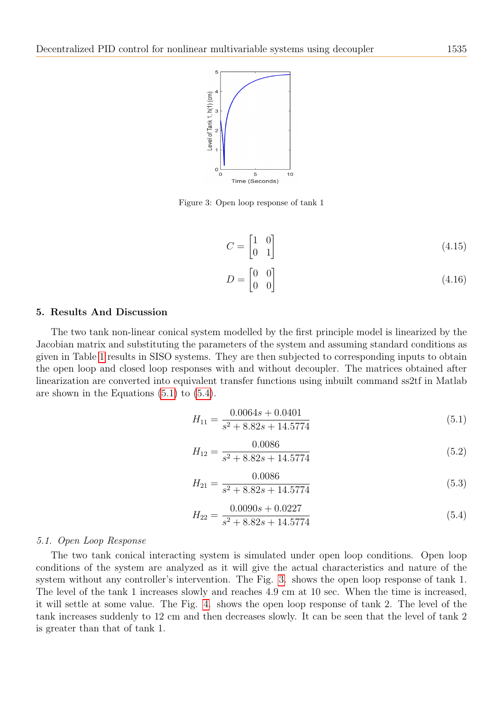

<span id="page-6-3"></span>Figure 3: Open loop response of tank 1

$$
C = \begin{bmatrix} 1 & 0 \\ 0 & 1 \end{bmatrix} \tag{4.15}
$$

<span id="page-6-0"></span>
$$
D = \begin{bmatrix} 0 & 0 \\ 0 & 0 \end{bmatrix} \tag{4.16}
$$

## 5. Results And Discussion

The two tank non-linear conical system modelled by the first principle model is linearized by the Jacobian matrix and substituting the parameters of the system and assuming standard conditions as given in Table [1](#page-4-3) results in SISO systems. They are then subjected to corresponding inputs to obtain the open loop and closed loop responses with and without decoupler. The matrices obtained after linearization are converted into equivalent transfer functions using inbuilt command ss2tf in Matlab are shown in the Equations [\(5.1\)](#page-6-1) to [\(5.4\)](#page-6-2).

<span id="page-6-1"></span>
$$
H_{11} = \frac{0.0064s + 0.0401}{s^2 + 8.82s + 14.5774}
$$
\n
$$
(5.1)
$$

$$
H_{12} = \frac{0.0086}{s^2 + 8.82s + 14.5774}
$$
\n
$$
(5.2)
$$

$$
H_{21} = \frac{0.0086}{s^2 + 8.82s + 14.5774}
$$
\n
$$
(5.3)
$$

<span id="page-6-2"></span>
$$
H_{22} = \frac{0.0090s + 0.0227}{s^2 + 8.82s + 14.5774}
$$
\n
$$
(5.4)
$$

#### 5.1. Open Loop Response

The two tank conical interacting system is simulated under open loop conditions. Open loop conditions of the system are analyzed as it will give the actual characteristics and nature of the system without any controller's intervention. The Fig. [3.](#page-6-3) shows the open loop response of tank 1. The level of the tank 1 increases slowly and reaches 4.9 cm at 10 sec. When the time is increased, it will settle at some value. The Fig. [4.](#page-7-0) shows the open loop response of tank 2. The level of the tank increases suddenly to 12 cm and then decreases slowly. It can be seen that the level of tank 2 is greater than that of tank 1.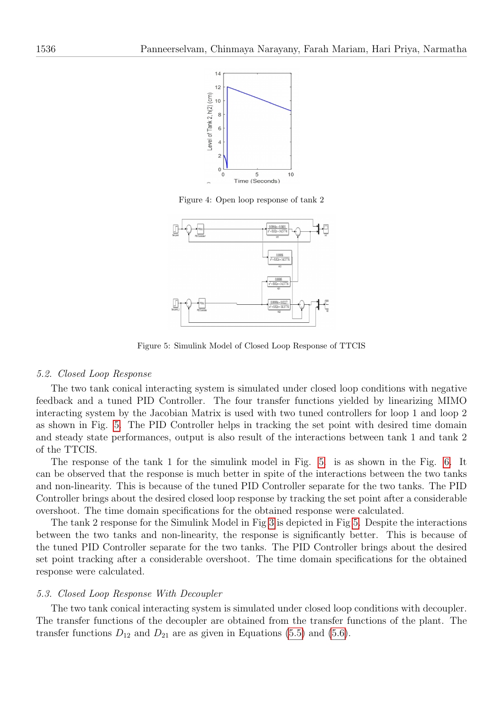

<span id="page-7-0"></span>Figure 4: Open loop response of tank 2



<span id="page-7-1"></span>Figure 5: Simulink Model of Closed Loop Response of TTCIS

#### 5.2. Closed Loop Response

The two tank conical interacting system is simulated under closed loop conditions with negative feedback and a tuned PID Controller. The four transfer functions yielded by linearizing MIMO interacting system by the Jacobian Matrix is used with two tuned controllers for loop 1 and loop 2 as shown in Fig. [5.](#page-7-1) The PID Controller helps in tracking the set point with desired time domain and steady state performances, output is also result of the interactions between tank 1 and tank 2 of the TTCIS.

The response of the tank 1 for the simulink model in Fig. [5.](#page-7-1) is as shown in the Fig. [6.](#page-8-0) It can be observed that the response is much better in spite of the interactions between the two tanks and non-linearity. This is because of the tuned PID Controller separate for the two tanks. The PID Controller brings about the desired closed loop response by tracking the set point after a considerable overshoot. The time domain specifications for the obtained response were calculated.

The tank 2 response for the Simulink Model in Fig [3](#page-6-3) is depicted in Fig [5.](#page-7-1) Despite the interactions between the two tanks and non-linearity, the response is significantly better. This is because of the tuned PID Controller separate for the two tanks. The PID Controller brings about the desired set point tracking after a considerable overshoot. The time domain specifications for the obtained response were calculated.

#### 5.3. Closed Loop Response With Decoupler

The two tank conical interacting system is simulated under closed loop conditions with decoupler. The transfer functions of the decoupler are obtained from the transfer functions of the plant. The transfer functions  $D_{12}$  and  $D_{21}$  are as given in Equations [\(5.5\)](#page-8-1) and [\(5.6\)](#page-8-2).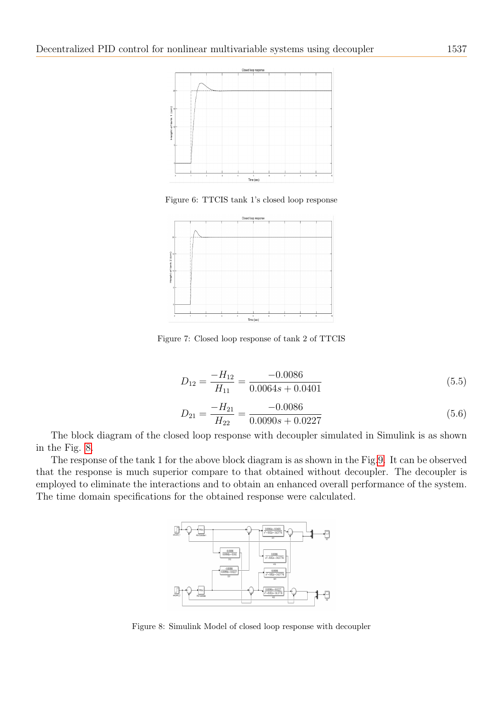

<span id="page-8-0"></span>Figure 6: TTCIS tank 1's closed loop response



Figure 7: Closed loop response of tank 2 of TTCIS

<span id="page-8-1"></span>
$$
D_{12} = \frac{-H_{12}}{H_{11}} = \frac{-0.0086}{0.0064s + 0.0401}
$$
\n(5.5)

<span id="page-8-2"></span>
$$
D_{21} = \frac{-H_{21}}{H_{22}} = \frac{-0.0086}{0.0090s + 0.0227}
$$
\n(5.6)

The block diagram of the closed loop response with decoupler simulated in Simulink is as shown in the Fig. [8.](#page-8-3)

The response of the tank 1 for the above block diagram is as shown in the Fig[.9.](#page-9-0) It can be observed that the response is much superior compare to that obtained without decoupler. The decoupler is employed to eliminate the interactions and to obtain an enhanced overall performance of the system. The time domain specifications for the obtained response were calculated.



<span id="page-8-3"></span>Figure 8: Simulink Model of closed loop response with decoupler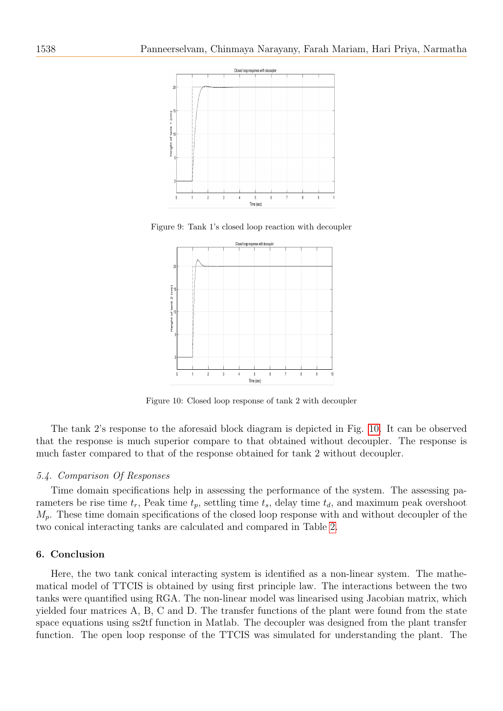

Figure 9: Tank 1's closed loop reaction with decoupler

<span id="page-9-0"></span>

<span id="page-9-1"></span>Figure 10: Closed loop response of tank 2 with decoupler

The tank 2's response to the aforesaid block diagram is depicted in Fig. [10.](#page-9-1) It can be observed that the response is much superior compare to that obtained without decoupler. The response is much faster compared to that of the response obtained for tank 2 without decoupler.

#### 5.4. Comparison Of Responses

Time domain specifications help in assessing the performance of the system. The assessing parameters be rise time  $t_r$ , Peak time  $t_p$ , settling time  $t_s$ , delay time  $t_d$ , and maximum peak overshoot  $M_p$ . These time domain specifications of the closed loop response with and without decoupler of the two conical interacting tanks are calculated and compared in Table [2.](#page-10-8)

#### 6. Conclusion

Here, the two tank conical interacting system is identified as a non-linear system. The mathematical model of TTCIS is obtained by using first principle law. The interactions between the two tanks were quantified using RGA. The non-linear model was linearised using Jacobian matrix, which yielded four matrices A, B, C and D. The transfer functions of the plant were found from the state space equations using ss2tf function in Matlab. The decoupler was designed from the plant transfer function. The open loop response of the TTCIS was simulated for understanding the plant. The